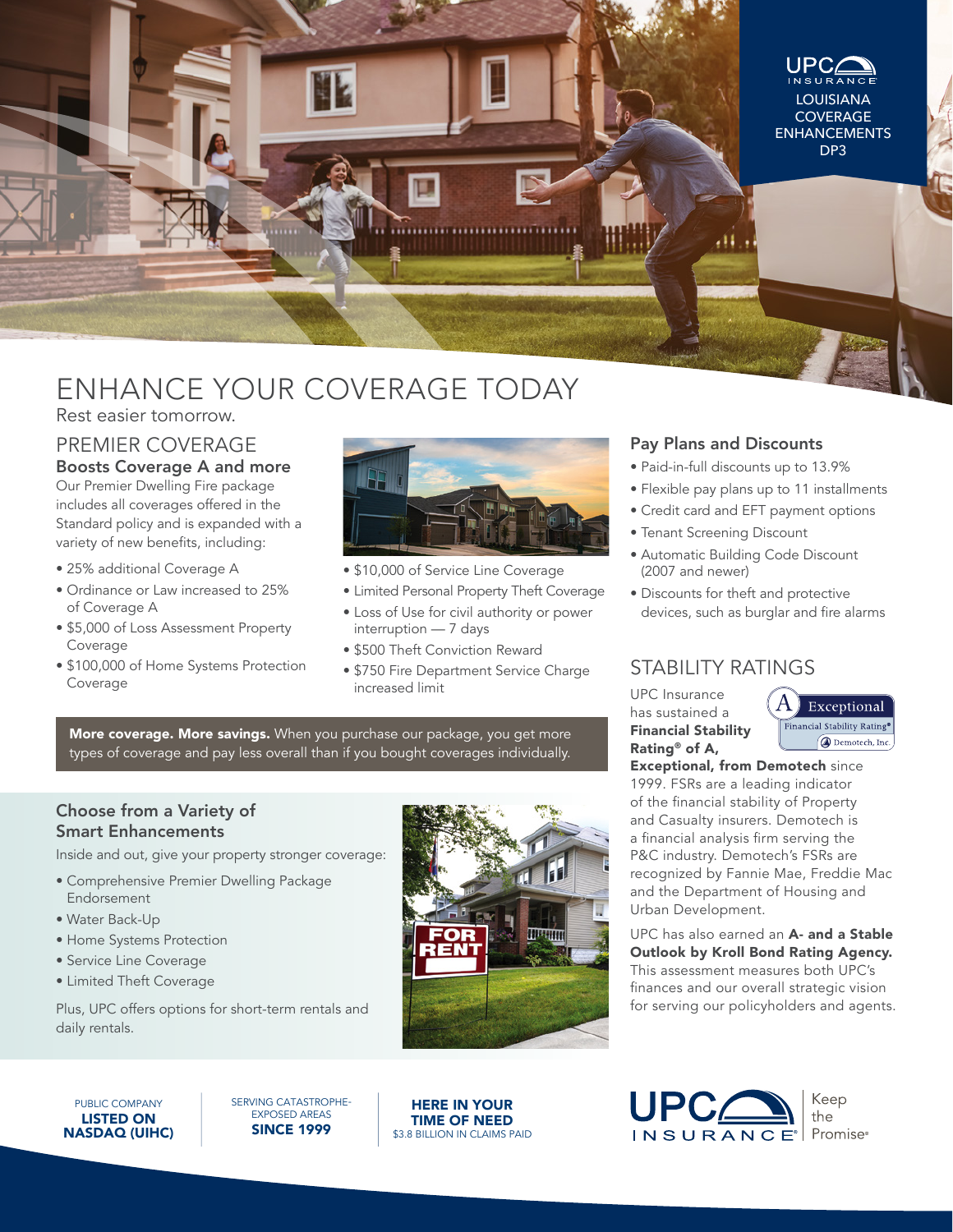

# ENHANCE YOUR COVERAGE TODAY

Rest easier tomorrow.

#### PREMIER COVERAGE Boosts Coverage A and more

Our Premier Dwelling Fire package includes all coverages offered in the Standard policy and is expanded with a variety of new benefits, including:

- 25% additional Coverage A
- Ordinance or Law increased to 25% of Coverage A
- \$5,000 of Loss Assessment Property Coverage
- \$100,000 of Home Systems Protection Coverage



- \$10,000 of Service Line Coverage
- Limited Personal Property Theft Coverage
- Loss of Use for civil authority or power interruption — 7 days
- \$500 Theft Conviction Reward
- \$750 Fire Department Service Charge increased limit

More coverage. More savings. When you purchase our package, you get more types of coverage and pay less overall than if you bought coverages individually.

#### Choose from a Variety of Smart Enhancements

Inside and out, give your property stronger coverage:

- Comprehensive Premier Dwelling Package Endorsement
- Water Back-Up
- Home Systems Protection
- Service Line Coverage
- Limited Theft Coverage

Plus, UPC offers options for short-term rentals and daily rentals.



HERE IN YOUR TIME OF NEED \$3.8 BILLION IN CLAIMS PAID

#### Pay Plans and Discounts

- Paid-in-full discounts up to 13.9%
- Flexible pay plans up to 11 installments
- Credit card and EFT payment options
- Tenant Screening Discount
- Automatic Building Code Discount (2007 and newer)
- Discounts for theft and protective devices, such as burglar and fire alarms

### STABILITY RATINGS

UPC Insurance has sustained a Financial Stability Rating® of A,



Exceptional, from Demotech since 1999. FSRs are a leading indicator of the financial stability of Property and Casualty insurers. Demotech is a financial analysis firm serving the P&C industry. Demotech's FSRs are recognized by Fannie Mae, Freddie Mac and the Department of Housing and Urban Development.

UPC has also earned an A- and a Stable Outlook by Kroll Bond Rating Agency. This assessment measures both UPC's finances and our overall strategic vision for serving our policyholders and agents.



SERVING CATASTROPHE-EXPOSED AREAS SINCE 1999